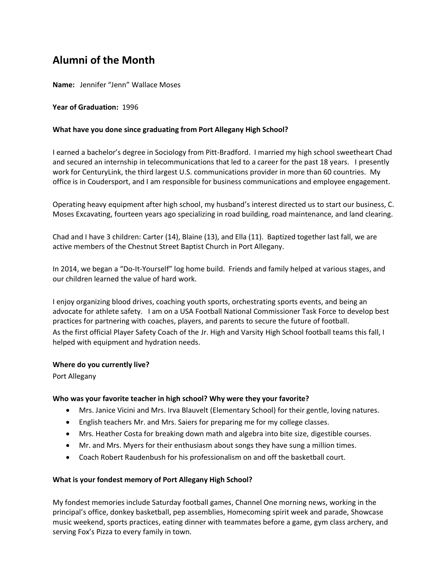# **Alumni of the Month**

**Name:** Jennifer "Jenn" Wallace Moses

## **Year of Graduation:** 1996

## **What have you done since graduating from Port Allegany High School?**

I earned a bachelor's degree in Sociology from Pitt-Bradford. I married my high school sweetheart Chad and secured an internship in telecommunications that led to a career for the past 18 years. I presently work for CenturyLink, the third largest U.S. communications provider in more than 60 countries. My office is in Coudersport, and I am responsible for business communications and employee engagement.

Operating heavy equipment after high school, my husband's interest directed us to start our business, C. Moses Excavating, fourteen years ago specializing in road building, road maintenance, and land clearing.

Chad and I have 3 children: Carter (14), Blaine (13), and Ella (11). Baptized together last fall, we are active members of the Chestnut Street Baptist Church in Port Allegany.

In 2014, we began a "Do-It-Yourself" log home build. Friends and family helped at various stages, and our children learned the value of hard work.

I enjoy organizing blood drives, coaching youth sports, orchestrating sports events, and being an advocate for athlete safety. I am on a USA Football National Commissioner Task Force to develop best practices for partnering with coaches, players, and parents to secure the future of football. As the first official Player Safety Coach of the Jr. High and Varsity High School football teams this fall, I helped with equipment and hydration needs.

#### **Where do you currently live?**

Port Allegany

#### **Who was your favorite teacher in high school? Why were they your favorite?**

- Mrs. Janice Vicini and Mrs. Irva Blauvelt (Elementary School) for their gentle, loving natures.
- English teachers Mr. and Mrs. Saiers for preparing me for my college classes.
- Mrs. Heather Costa for breaking down math and algebra into bite size, digestible courses.
- Mr. and Mrs. Myers for their enthusiasm about songs they have sung a million times.
- Coach Robert Raudenbush for his professionalism on and off the basketball court.

# **What is your fondest memory of Port Allegany High School?**

My fondest memories include Saturday football games, Channel One morning news, working in the principal's office, donkey basketball, pep assemblies, Homecoming spirit week and parade, Showcase music weekend, sports practices, eating dinner with teammates before a game, gym class archery, and serving Fox's Pizza to every family in town.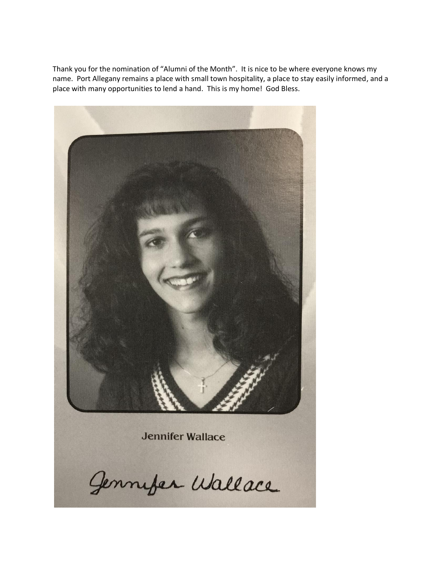Thank you for the nomination of "Alumni of the Month". It is nice to be where everyone knows my name. Port Allegany remains a place with small town hospitality, a place to stay easily informed, and a place with many opportunities to lend a hand. This is my home! God Bless.



**Jennifer Wallace** 

Jennifer Wallace